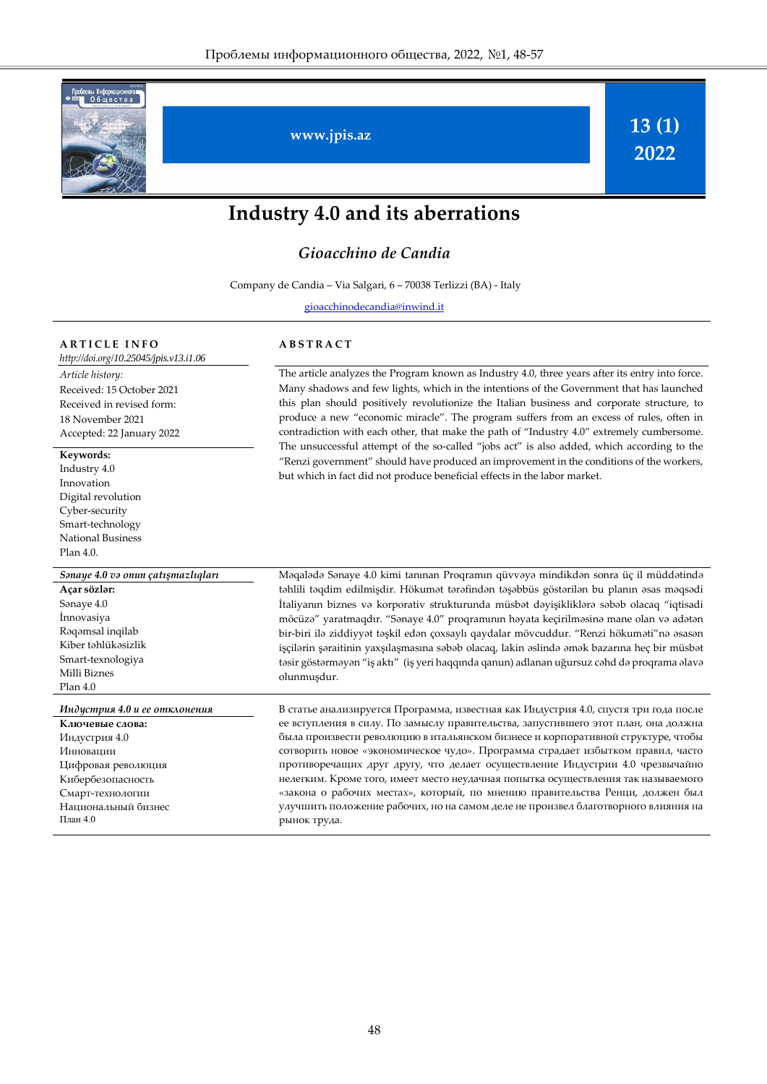

# **Industry 4.0 and its aberrations**

#### *Gioacchino de Candia*

Company de Candia – Via Salgari, 6 – 70038 Terlizzi (BA) - Italy

[gioacchinodecandia@inwind.it](mailto:r.alguliev@gmail.com)

**A B S T R A C T**

#### **A R T I C L E I N F O**

*[http://doi.org/](http://doi.org/10.25045/jpis.v13.i1.04)10.25045/jpis.v13.i1.06 Article history:*  Received: 15 October 2021 Received in revised form: 18 November 2021 Accepted: 22 January 2022 The article analyzes the Program known as Industry 4.0, three years after its entry into force. Many shadows and few lights, which in the intentions of the Government that has launched this plan should positively revolutionize the Italian business and corporate structure, to produce a new "economic miracle". The program suffers from an excess of rules, often in contradiction with each other, that make the path of "Industry 4.0" extremely cumbersome. The unsuccessful attempt of the so-called "jobs act" is also added, which according to the "Renzi government" should have produced an improvement in the conditions of the workers, but which in fact did not produce beneficial effects in the labor market. **Keywords:**  Industry 4.0 Innovation Digital revolution Cyber-security Smart-technology National Business Plan 4.0. *Sənaye 4.0 və onun çatışmazlıqları* Məqalədə Sənaye 4.0 kimi tanınan Proqramın qüvvəyə mindikdən sonra üç il müddətində təhlili təqdim edilmişdir. Hökumət tərəfindən təşəbbüs göstərilən bu planın əsas məqsədi İtaliyanın biznes və korporativ strukturunda müsbət dəyişikliklərə səbəb olacaq "iqtisadi möcüzə" yaratmaqdır. "Sənaye 4.0" proqramının həyata keçirilməsinə mane olan və adətən bir-biri ilə ziddiyyət təşkil edən çoxsaylı qaydalar mövcuddur. "Renzi hökuməti"nə əsasən işçilərin şəraitinin yaxşılaşmasına səbəb olacaq, lakin əslində əmək bazarına heç bir müsbət təsir göstərməyən "iş aktı" (iş yeri haqqında qanun) adlanan uğursuz cəhd də proqrama əlavə olunmuşdur. **Açar sözlər:**  Sənaye 4.0 İnnovasiya Rəqəmsal inqilab Kiber təhlükəsizlik Smart-texnologiya Milli Biznes Plan 4.0 *Индустрия 4.0 и ее отклонения* В статье анализируется Программа, известная как Индустрия 4.0, спустя три года после ее вступления в силу. По замыслу правительства, запустившего этот план, она должна была произвести революцию в итальянском бизнесе и корпоративной структуре, чтобы сотворить новое «экономическое чудо». Программа страдает избытком правил, часто противоречащих друг другу, что делает осуществление Индустрии 4.0 чрезвычайно нелегким. Кроме того, имеет место неудачная попытка осуществления так называемого «закона о рабочих местах», который, по мнению правительства Ренци, должен был улучшить положение рабочих, но на самом деле не произвел благотворного влияния на рынок труда. **Ключевые слова:**  Индустрия 4.0 Инновации Цифровая революция Кибербезопасность Смарт-технологии Национальный бизнес План 4.0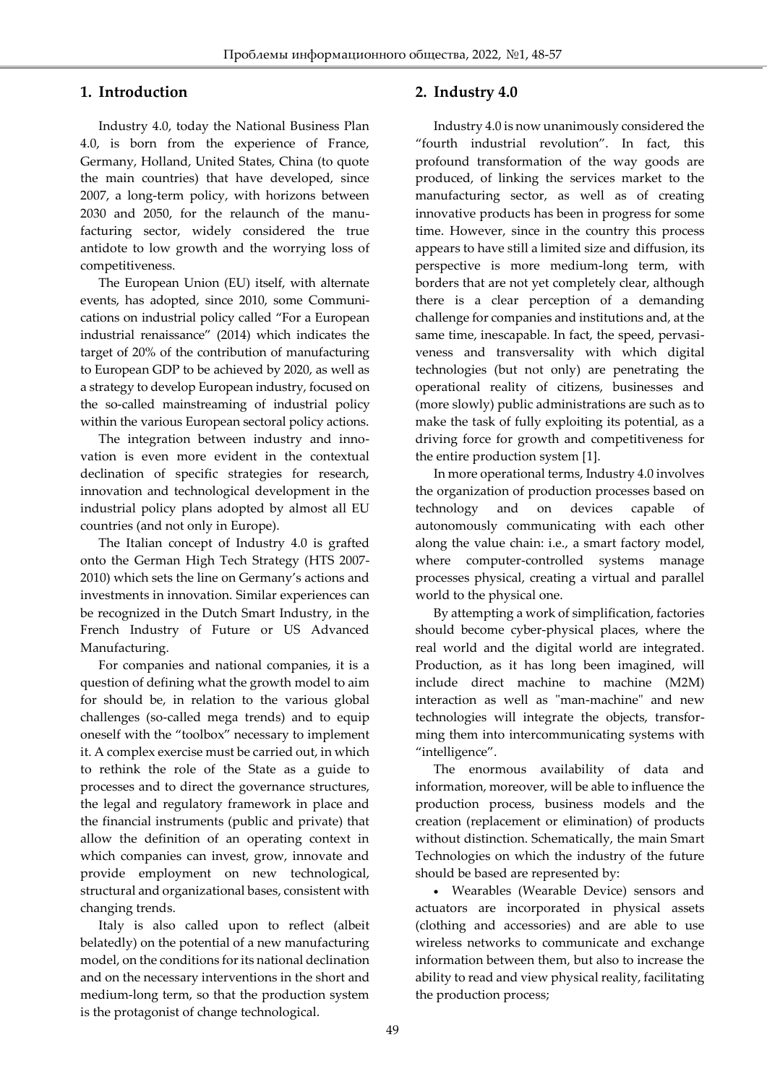## **1. Introduction**

Ī

Industry 4.0, today the National Business Plan 4.0, is born from the experience of France, Germany, Holland, United States, China (to quote the main countries) that have developed, since 2007, a long-term policy, with horizons between 2030 and 2050, for the relaunch of the manufacturing sector, widely considered the true antidote to low growth and the worrying loss of competitiveness.

The European Union (EU) itself, with alternate events, has adopted, since 2010, some Communications on industrial policy called "For a European industrial renaissance" (2014) which indicates the target of 20% of the contribution of manufacturing to European GDP to be achieved by 2020, as well as a strategy to develop European industry, focused on the so-called mainstreaming of industrial policy within the various European sectoral policy actions.

The integration between industry and innovation is even more evident in the contextual declination of specific strategies for research, innovation and technological development in the industrial policy plans adopted by almost all EU countries (and not only in Europe).

The Italian concept of Industry 4.0 is grafted onto the German High Tech Strategy (HTS 2007- 2010) which sets the line on Germany's actions and investments in innovation. Similar experiences can be recognized in the Dutch Smart Industry, in the French Industry of Future or US Advanced Manufacturing.

For companies and national companies, it is a question of defining what the growth model to aim for should be, in relation to the various global challenges (so-called mega trends) and to equip oneself with the "toolbox" necessary to implement it. A complex exercise must be carried out, in which to rethink the role of the State as a guide to processes and to direct the governance structures, the legal and regulatory framework in place and the financial instruments (public and private) that allow the definition of an operating context in which companies can invest, grow, innovate and provide employment on new technological, structural and organizational bases, consistent with changing trends.

Italy is also called upon to reflect (albeit belatedly) on the potential of a new manufacturing model, on the conditions for its national declination and on the necessary interventions in the short and medium-long term, so that the production system is the protagonist of change technological.

## **2. Industry 4.0**

Industry 4.0 is now unanimously considered the "fourth industrial revolution". In fact, this profound transformation of the way goods are produced, of linking the services market to the manufacturing sector, as well as of creating innovative products has been in progress for some time. However, since in the country this process appears to have still a limited size and diffusion, its perspective is more medium-long term, with borders that are not yet completely clear, although there is a clear perception of a demanding challenge for companies and institutions and, at the same time, inescapable. In fact, the speed, pervasiveness and transversality with which digital technologies (but not only) are penetrating the operational reality of citizens, businesses and (more slowly) public administrations are such as to make the task of fully exploiting its potential, as a driving force for growth and competitiveness for the entire production system [1].

In more operational terms, Industry 4.0 involves the organization of production processes based on technology and on devices capable of autonomously communicating with each other along the value chain: i.e., a smart factory model, where computer-controlled systems manage processes physical, creating a virtual and parallel world to the physical one.

By attempting a work of simplification, factories should become cyber-physical places, where the real world and the digital world are integrated. Production, as it has long been imagined, will include direct machine to machine (M2M) interaction as well as "man-machine" and new technologies will integrate the objects, transforming them into intercommunicating systems with "intelligence".

The enormous availability of data and information, moreover, will be able to influence the production process, business models and the creation (replacement or elimination) of products without distinction. Schematically, the main Smart Technologies on which the industry of the future should be based are represented by:

 Wearables (Wearable Device) sensors and actuators are incorporated in physical assets (clothing and accessories) and are able to use wireless networks to communicate and exchange information between them, but also to increase the ability to read and view physical reality, facilitating the production process;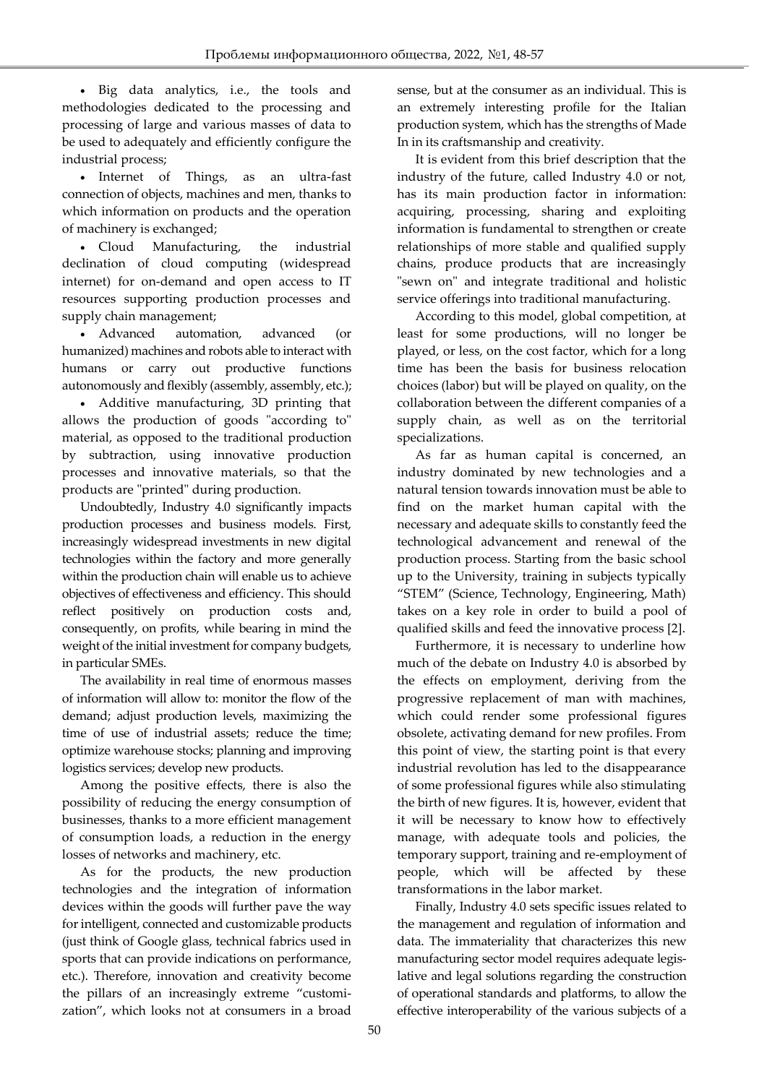Ī Big data analytics, i.e., the tools and methodologies dedicated to the processing and processing of large and various masses of data to be used to adequately and efficiently configure the industrial process;

 Internet of Things, as an ultra-fast connection of objects, machines and men, thanks to which information on products and the operation of machinery is exchanged;

 Cloud Manufacturing, the industrial declination of cloud computing (widespread internet) for on-demand and open access to IT resources supporting production processes and supply chain management;

 Advanced automation, advanced (or humanized) machines and robots able to interact with humans or carry out productive functions autonomously and flexibly (assembly, assembly, etc.);

 Additive manufacturing, 3D printing that allows the production of goods "according to" material, as opposed to the traditional production by subtraction, using innovative production processes and innovative materials, so that the products are "printed" during production.

Undoubtedly, Industry 4.0 significantly impacts production processes and business models. First, increasingly widespread investments in new digital technologies within the factory and more generally within the production chain will enable us to achieve objectives of effectiveness and efficiency. This should reflect positively on production costs and, consequently, on profits, while bearing in mind the weight of the initial investment for company budgets, in particular SMEs.

The availability in real time of enormous masses of information will allow to: monitor the flow of the demand; adjust production levels, maximizing the time of use of industrial assets; reduce the time; optimize warehouse stocks; planning and improving logistics services; develop new products.

Among the positive effects, there is also the possibility of reducing the energy consumption of businesses, thanks to a more efficient management of consumption loads, a reduction in the energy losses of networks and machinery, etc.

As for the products, the new production technologies and the integration of information devices within the goods will further pave the way for intelligent, connected and customizable products (just think of Google glass, technical fabrics used in sports that can provide indications on performance, etc.). Therefore, innovation and creativity become the pillars of an increasingly extreme "customization", which looks not at consumers in a broad sense, but at the consumer as an individual. This is an extremely interesting profile for the Italian production system, which has the strengths of Made In in its craftsmanship and creativity.

It is evident from this brief description that the industry of the future, called Industry 4.0 or not, has its main production factor in information: acquiring, processing, sharing and exploiting information is fundamental to strengthen or create relationships of more stable and qualified supply chains, produce products that are increasingly "sewn on" and integrate traditional and holistic service offerings into traditional manufacturing.

According to this model, global competition, at least for some productions, will no longer be played, or less, on the cost factor, which for a long time has been the basis for business relocation choices (labor) but will be played on quality, on the collaboration between the different companies of a supply chain, as well as on the territorial specializations.

As far as human capital is concerned, an industry dominated by new technologies and a natural tension towards innovation must be able to find on the market human capital with the necessary and adequate skills to constantly feed the technological advancement and renewal of the production process. Starting from the basic school up to the University, training in subjects typically "STEM" (Science, Technology, Engineering, Math) takes on a key role in order to build a pool of qualified skills and feed the innovative process [2].

Furthermore, it is necessary to underline how much of the debate on Industry 4.0 is absorbed by the effects on employment, deriving from the progressive replacement of man with machines, which could render some professional figures obsolete, activating demand for new profiles. From this point of view, the starting point is that every industrial revolution has led to the disappearance of some professional figures while also stimulating the birth of new figures. It is, however, evident that it will be necessary to know how to effectively manage, with adequate tools and policies, the temporary support, training and re-employment of people, which will be affected by these transformations in the labor market.

Finally, Industry 4.0 sets specific issues related to the management and regulation of information and data. The immateriality that characterizes this new manufacturing sector model requires adequate legislative and legal solutions regarding the construction of operational standards and platforms, to allow the effective interoperability of the various subjects of a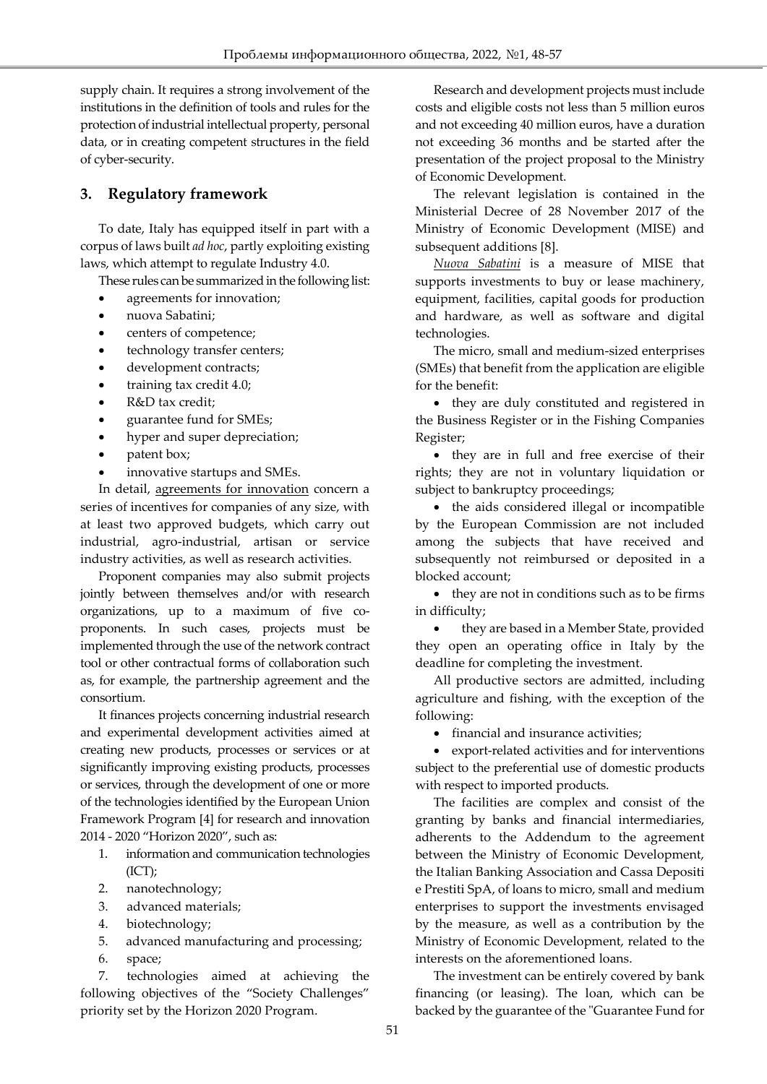supply chain. It requires a strong involvement of the institutions in the definition of tools and rules for the protection of industrial intellectual property, personal data, or in creating competent structures in the field of cyber-security.

## **3. Regulatory framework**

Ī

To date, Italy has equipped itself in part with a corpus of laws built *ad hoc*, partly exploiting existing laws, which attempt to regulate Industry 4.0.

These rules can be summarized in the following list:

- agreements for innovation;
- nuova Sabatini;
- centers of competence;
- technology transfer centers;
- development contracts;
- training tax credit 4.0;
- R&D tax credit;
- guarantee fund for SMEs;
- hyper and super depreciation;
- patent box;
- innovative startups and SMEs.

In detail, agreements for innovation concern a series of incentives for companies of any size, with at least two approved budgets, which carry out industrial, agro-industrial, artisan or service industry activities, as well as research activities.

Proponent companies may also submit projects jointly between themselves and/or with research organizations, up to a maximum of five coproponents. In such cases, projects must be implemented through the use of the network contract tool or other contractual forms of collaboration such as, for example, the partnership agreement and the consortium.

It finances projects concerning industrial research and experimental development activities aimed at creating new products, processes or services or at significantly improving existing products, processes or services, through the development of one or more of the technologies identified by the European Union Framework Program [4] for research and innovation 2014 - 2020 "Horizon 2020", such as:

- 1. information and communication technologies (ICT);
- 2. nanotechnology;
- 3. advanced materials;
- 4. biotechnology;
- 5. advanced manufacturing and processing;
- 6. space;

7. technologies aimed at achieving the following objectives of the "Society Challenges" priority set by the Horizon 2020 Program.

Research and development projects must include costs and eligible costs not less than 5 million euros and not exceeding 40 million euros, have a duration not exceeding 36 months and be started after the presentation of the project proposal to the Ministry of Economic Development.

The relevant legislation is contained in the Ministerial Decree of 28 November 2017 of the Ministry of Economic Development (MISE) and subsequent additions [8].

*Nuova Sabatini* is a measure of MISE that supports investments to buy or lease machinery, equipment, facilities, capital goods for production and hardware, as well as software and digital technologies.

The micro, small and medium-sized enterprises (SMEs) that benefit from the application are eligible for the benefit:

• they are duly constituted and registered in the Business Register or in the Fishing Companies Register;

 they are in full and free exercise of their rights; they are not in voluntary liquidation or subject to bankruptcy proceedings;

• the aids considered illegal or incompatible by the European Commission are not included among the subjects that have received and subsequently not reimbursed or deposited in a blocked account;

 they are not in conditions such as to be firms in difficulty;

 they are based in a Member State, provided they open an operating office in Italy by the deadline for completing the investment.

All productive sectors are admitted, including agriculture and fishing, with the exception of the following:

• financial and insurance activities;

 export-related activities and for interventions subject to the preferential use of domestic products with respect to imported products.

The facilities are complex and consist of the granting by banks and financial intermediaries, adherents to the Addendum to the agreement between the Ministry of Economic Development, the Italian Banking Association and Cassa Depositi e Prestiti SpA, of loans to micro, small and medium enterprises to support the investments envisaged by the measure, as well as a contribution by the Ministry of Economic Development, related to the interests on the aforementioned loans.

The investment can be entirely covered by bank financing (or leasing). The loan, which can be backed by the guarantee of the "Guarantee Fund for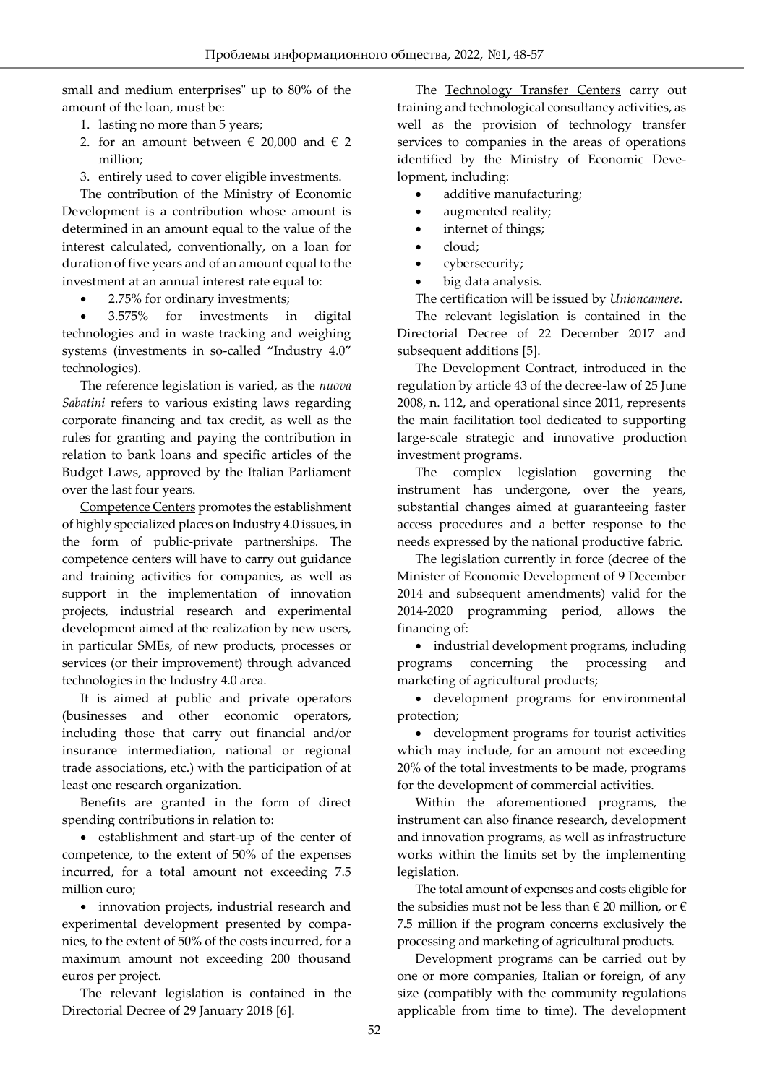small and medium enterprises" up to 80% of the amount of the loan, must be:

1. lasting no more than 5 years;

Ī

- 2. for an amount between  $\epsilon$  20,000 and  $\epsilon$  2 million;
- 3. entirely used to cover eligible investments.

The contribution of the Ministry of Economic Development is a contribution whose amount is determined in an amount equal to the value of the interest calculated, conventionally, on a loan for duration of five years and of an amount equal to the investment at an annual interest rate equal to:

• 2.75% for ordinary investments;

 3.575% for investments in digital technologies and in waste tracking and weighing systems (investments in so-called "Industry 4.0" technologies).

The reference legislation is varied, as the *nuova Sabatini* refers to various existing laws regarding corporate financing and tax credit, as well as the rules for granting and paying the contribution in relation to bank loans and specific articles of the Budget Laws, approved by the Italian Parliament over the last four years.

Competence Centers promotes the establishment of highly specialized places on Industry 4.0 issues, in the form of public-private partnerships. The competence centers will have to carry out guidance and training activities for companies, as well as support in the implementation of innovation projects, industrial research and experimental development aimed at the realization by new users, in particular SMEs, of new products, processes or services (or their improvement) through advanced technologies in the Industry 4.0 area.

It is aimed at public and private operators (businesses and other economic operators, including those that carry out financial and/or insurance intermediation, national or regional trade associations, etc.) with the participation of at least one research organization.

Benefits are granted in the form of direct spending contributions in relation to:

 establishment and start-up of the center of competence, to the extent of 50% of the expenses incurred, for a total amount not exceeding 7.5 million euro;

 innovation projects, industrial research and experimental development presented by companies, to the extent of 50% of the costs incurred, for a maximum amount not exceeding 200 thousand euros per project.

The relevant legislation is contained in the Directorial Decree of 29 January 2018 [6].

The Technology Transfer Centers carry out training and technological consultancy activities, as well as the provision of technology transfer services to companies in the areas of operations identified by the Ministry of Economic Development, including:

- additive manufacturing;
- augmented reality;
- internet of things;
- cloud;
- cybersecurity;
- big data analysis.

The certification will be issued by *Unioncamere*.

The relevant legislation is contained in the Directorial Decree of 22 December 2017 and subsequent additions [5].

The **Development Contract**, introduced in the regulation by article 43 of the decree-law of 25 June 2008, n. 112, and operational since 2011, represents the main facilitation tool dedicated to supporting large-scale strategic and innovative production investment programs.

The complex legislation governing the instrument has undergone, over the years, substantial changes aimed at guaranteeing faster access procedures and a better response to the needs expressed by the national productive fabric.

The legislation currently in force (decree of the Minister of Economic Development of 9 December 2014 and subsequent amendments) valid for the 2014-2020 programming period, allows the financing of:

• industrial development programs, including programs concerning the processing and marketing of agricultural products;

 development programs for environmental protection;

 development programs for tourist activities which may include, for an amount not exceeding 20% of the total investments to be made, programs for the development of commercial activities.

Within the aforementioned programs, the instrument can also finance research, development and innovation programs, as well as infrastructure works within the limits set by the implementing legislation.

The total amount of expenses and costs eligible for the subsidies must not be less than  $\in$  20 million, or  $\in$ 7.5 million if the program concerns exclusively the processing and marketing of agricultural products.

Development programs can be carried out by one or more companies, Italian or foreign, of any size (compatibly with the community regulations applicable from time to time). The development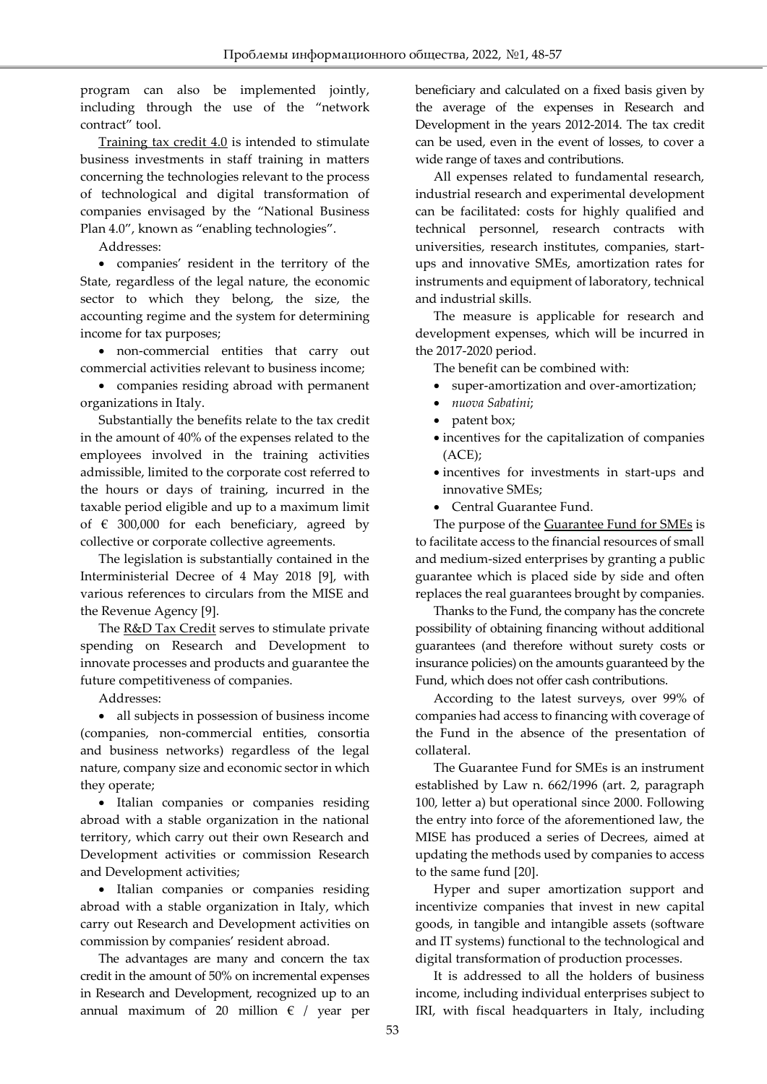program can also be implemented jointly, including through the use of the "network contract" tool.

Training tax credit 4.0 is intended to stimulate business investments in staff training in matters concerning the technologies relevant to the process of technological and digital transformation of companies envisaged by the "National Business Plan 4.0", known as "enabling technologies".

Addresses:

Ī

 companies' resident in the territory of the State, regardless of the legal nature, the economic sector to which they belong, the size, the accounting regime and the system for determining income for tax purposes;

 non-commercial entities that carry out commercial activities relevant to business income;

 companies residing abroad with permanent organizations in Italy.

Substantially the benefits relate to the tax credit in the amount of 40% of the expenses related to the employees involved in the training activities admissible, limited to the corporate cost referred to the hours or days of training, incurred in the taxable period eligible and up to a maximum limit of  $\epsilon$  300,000 for each beneficiary, agreed by collective or corporate collective agreements.

The legislation is substantially contained in the Interministerial Decree of 4 May 2018 [9], with various references to circulars from the MISE and the Revenue Agency [9].

The R&D Tax Credit serves to stimulate private spending on Research and Development to innovate processes and products and guarantee the future competitiveness of companies.

Addresses:

 all subjects in possession of business income (companies, non-commercial entities, consortia and business networks) regardless of the legal nature, company size and economic sector in which they operate;

 Italian companies or companies residing abroad with a stable organization in the national territory, which carry out their own Research and Development activities or commission Research and Development activities;

• Italian companies or companies residing abroad with a stable organization in Italy, which carry out Research and Development activities on commission by companies' resident abroad.

The advantages are many and concern the tax credit in the amount of 50% on incremental expenses in Research and Development, recognized up to an annual maximum of 20 million  $\epsilon$  / year per beneficiary and calculated on a fixed basis given by the average of the expenses in Research and Development in the years 2012-2014. The tax credit can be used, even in the event of losses, to cover a wide range of taxes and contributions.

All expenses related to fundamental research, industrial research and experimental development can be facilitated: costs for highly qualified and technical personnel, research contracts with universities, research institutes, companies, startups and innovative SMEs, amortization rates for instruments and equipment of laboratory, technical and industrial skills.

The measure is applicable for research and development expenses, which will be incurred in the 2017-2020 period.

The benefit can be combined with:

- super-amortization and over-amortization;
- *nuova Sabatini*;
- patent box;
- $\bullet$  incentives for the capitalization of companies (ACE);
- incentives for investments in start-ups and innovative SMEs;
- Central Guarantee Fund.

The purpose of the **Guarantee Fund for SMEs** is to facilitate access to the financial resources of small and medium-sized enterprises by granting a public guarantee which is placed side by side and often replaces the real guarantees brought by companies.

Thanks to the Fund, the company has the concrete possibility of obtaining financing without additional guarantees (and therefore without surety costs or insurance policies) on the amounts guaranteed by the Fund, which does not offer cash contributions.

According to the latest surveys, over 99% of companies had access to financing with coverage of the Fund in the absence of the presentation of collateral.

The Guarantee Fund for SMEs is an instrument established by Law n. 662/1996 (art. 2, paragraph 100, letter a) but operational since 2000. Following the entry into force of the aforementioned law, the MISE has produced a series of Decrees, aimed at updating the methods used by companies to access to the same fund [20].

Hyper and super amortization support and incentivize companies that invest in new capital goods, in tangible and intangible assets (software and IT systems) functional to the technological and digital transformation of production processes.

It is addressed to all the holders of business income, including individual enterprises subject to IRI, with fiscal headquarters in Italy, including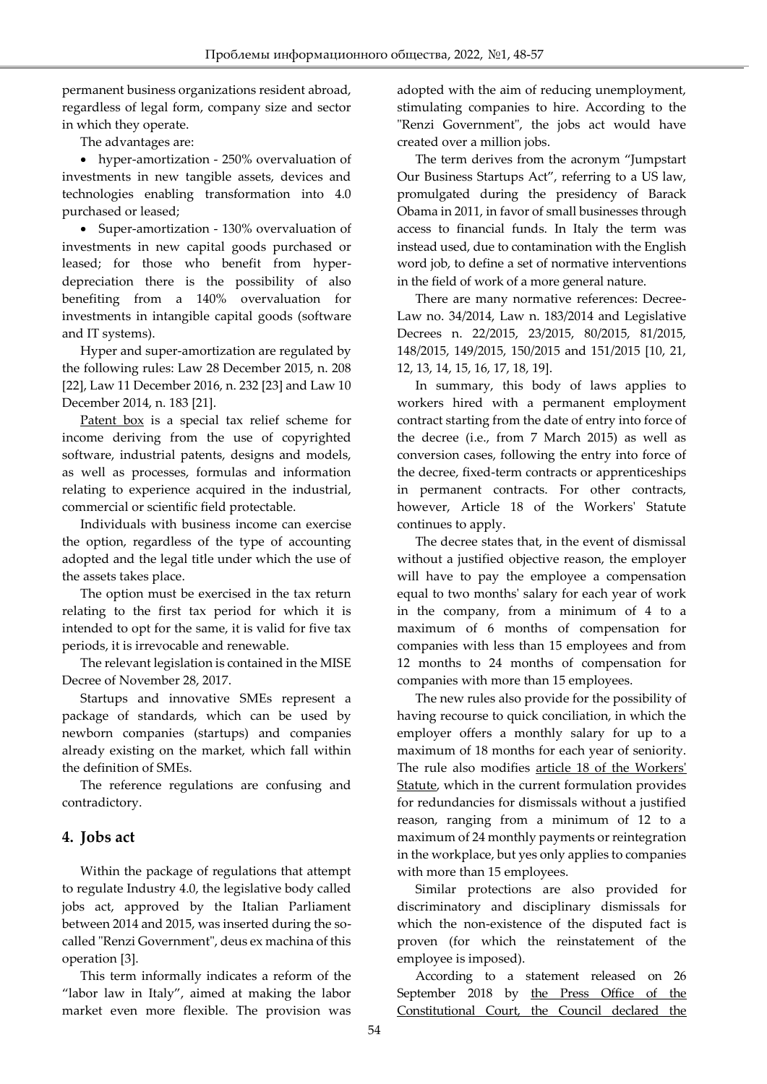permanent business organizations resident abroad, regardless of legal form, company size and sector in which they operate.

The advantages are:

Ī

 hyper-amortization - 250% overvaluation of investments in new tangible assets, devices and technologies enabling transformation into 4.0 purchased or leased;

• Super-amortization - 130% overvaluation of investments in new capital goods purchased or leased; for those who benefit from hyperdepreciation there is the possibility of also benefiting from a 140% overvaluation for investments in intangible capital goods (software and IT systems).

Hyper and super-amortization are regulated by the following rules: Law 28 December 2015, n. 208 [22], Law 11 December 2016, n. 232 [23] and Law 10 December 2014, n. 183 [21].

Patent box is a special tax relief scheme for income deriving from the use of copyrighted software, industrial patents, designs and models, as well as processes, formulas and information relating to experience acquired in the industrial, commercial or scientific field protectable.

Individuals with business income can exercise the option, regardless of the type of accounting adopted and the legal title under which the use of the assets takes place.

The option must be exercised in the tax return relating to the first tax period for which it is intended to opt for the same, it is valid for five tax periods, it is irrevocable and renewable.

The relevant legislation is contained in the MISE Decree of November 28, 2017.

Startups and innovative SMEs represent a package of standards, which can be used by newborn companies (startups) and companies already existing on the market, which fall within the definition of SMEs.

The reference regulations are confusing and contradictory.

# **4. Jobs act**

Within the package of regulations that attempt to regulate Industry 4.0, the legislative body called jobs act, approved by the Italian Parliament between 2014 and 2015, was inserted during the socalled "Renzi Government", deus ex machina of this operation [3].

This term informally indicates a reform of the "labor law in Italy", aimed at making the labor market even more flexible. The provision was adopted with the aim of reducing unemployment, stimulating companies to hire. According to the "Renzi Government", the jobs act would have created over a million jobs.

The term derives from the acronym "Jumpstart Our Business Startups Act", referring to a US law, promulgated during the presidency of Barack Obama in 2011, in favor of small businesses through access to financial funds. In Italy the term was instead used, due to contamination with the English word job, to define a set of normative interventions in the field of work of a more general nature.

There are many normative references: Decree-Law no. 34/2014, Law n. 183/2014 and Legislative Decrees n. 22/2015, 23/2015, 80/2015, 81/2015, 148/2015, 149/2015, 150/2015 and 151/2015 [10, 21, 12, 13, 14, 15, 16, 17, 18, 19].

In summary, this body of laws applies to workers hired with a permanent employment contract starting from the date of entry into force of the decree (i.e., from 7 March 2015) as well as conversion cases, following the entry into force of the decree, fixed-term contracts or apprenticeships in permanent contracts. For other contracts, however, Article 18 of the Workers' Statute continues to apply.

The decree states that, in the event of dismissal without a justified objective reason, the employer will have to pay the employee a compensation equal to two months' salary for each year of work in the company, from a minimum of 4 to a maximum of 6 months of compensation for companies with less than 15 employees and from 12 months to 24 months of compensation for companies with more than 15 employees.

The new rules also provide for the possibility of having recourse to quick conciliation, in which the employer offers a monthly salary for up to a maximum of 18 months for each year of seniority. The rule also modifies article 18 of the Workers' Statute, which in the current formulation provides for redundancies for dismissals without a justified reason, ranging from a minimum of 12 to a maximum of 24 monthly payments or reintegration in the workplace, but yes only applies to companies with more than 15 employees.

Similar protections are also provided for discriminatory and disciplinary dismissals for which the non-existence of the disputed fact is proven (for which the reinstatement of the employee is imposed).

According to a statement released on 26 September 2018 by the Press Office of the Constitutional Court, the Council declared the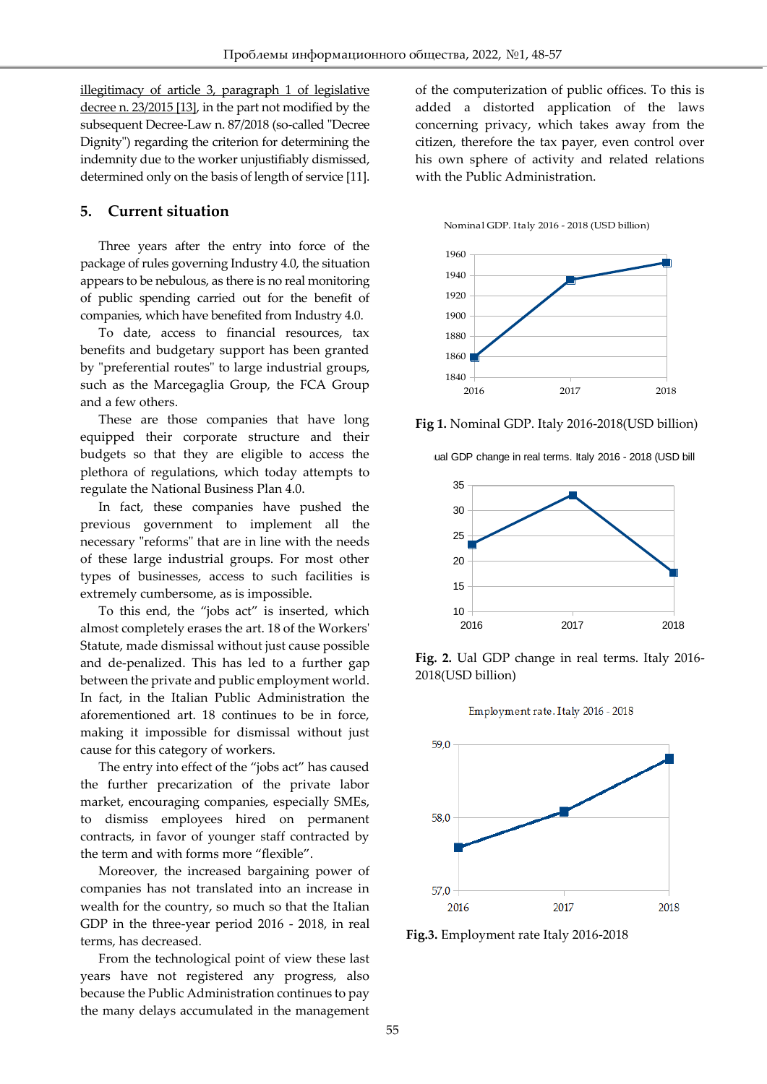illegitimacy of article 3, paragraph 1 of legislative decree n. 23/2015 [13], in the part not modified by the subsequent Decree-Law n. 87/2018 (so-called "Decree Dignity") regarding the criterion for determining the indemnity due to the worker unjustifiably dismissed, determined only on the basis of length of service [11].

#### **5. Current situation**

Ī

Three years after the entry into force of the package of rules governing Industry 4.0, the situation appears to be nebulous, as there is no real monitoring of public spending carried out for the benefit of companies, which have benefited from Industry 4.0.

To date, access to financial resources, tax benefits and budgetary support has been granted by "preferential routes" to large industrial groups, such as the Marcegaglia Group, the FCA Group and a few others.

These are those companies that have long equipped their corporate structure and their budgets so that they are eligible to access the plethora of regulations, which today attempts to regulate the National Business Plan 4.0.

In fact, these companies have pushed the previous government to implement all the necessary "reforms" that are in line with the needs of these large industrial groups. For most other types of businesses, access to such facilities is extremely cumbersome, as is impossible.

To this end, the "jobs act" is inserted, which almost completely erases the art. 18 of the Workers' Statute, made dismissal without just cause possible and de-penalized. This has led to a further gap between the private and public employment world. In fact, in the Italian Public Administration the aforementioned art. 18 continues to be in force, making it impossible for dismissal without just cause for this category of workers.

The entry into effect of the "jobs act" has caused the further precarization of the private labor market, encouraging companies, especially SMEs, to dismiss employees hired on permanent contracts, in favor of younger staff contracted by the term and with forms more "flexible".

Moreover, the increased bargaining power of companies has not translated into an increase in wealth for the country, so much so that the Italian GDP in the three-year period 2016 - 2018, in real terms, has decreased.

From the technological point of view these last years have not registered any progress, also because the Public Administration continues to pay the many delays accumulated in the management

of the computerization of public offices. To this is added a distorted application of the laws concerning privacy, which takes away from the citizen, therefore the tax payer, even control over his own sphere of activity and related relations with the Public Administration.

Nominal GDP. Italy 2016 - 2018 (USD billion)



**Fig 1.** Nominal GDP. Italy 2016-2018(USD billion)





**Fig. 2.** Ual GDP change in real terms. Italy 2016- 2018(USD billion)





**Fig.3.** Employment rate Italy 2016-2018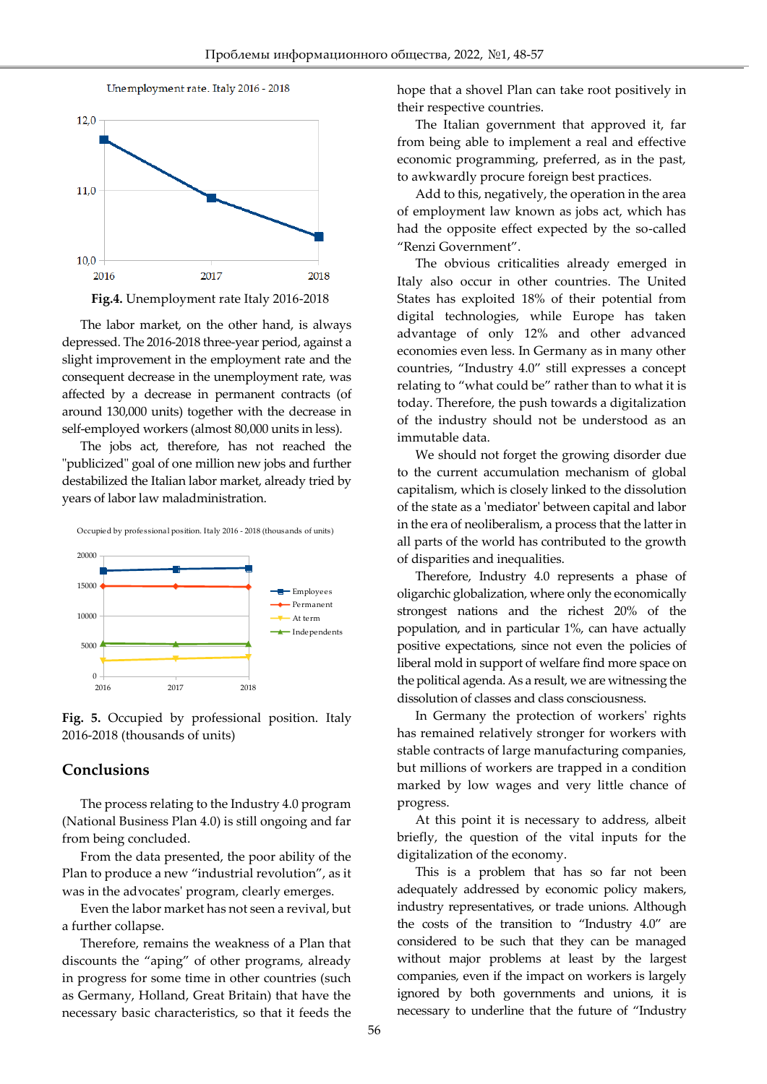

Ī



The labor market, on the other hand, is always depressed. The 2016-2018 three-year period, against a slight improvement in the employment rate and the consequent decrease in the unemployment rate, was affected by a decrease in permanent contracts (of around 130,000 units) together with the decrease in self-employed workers (almost 80,000 units in less).

The jobs act, therefore, has not reached the "publicized" goal of one million new jobs and further destabilized the Italian labor market, already tried by years of labor law maladministration.



Occupied by professional position. Italy 2016 - 2018 (thousands of units)

**Fig. 5.** Occupied by professional position. Italy 2016-2018 (thousands of units)

#### **Conclusions**

The process relating to the Industry 4.0 program (National Business Plan 4.0) is still ongoing and far from being concluded.

From the data presented, the poor ability of the Plan to produce a new "industrial revolution", as it was in the advocates' program, clearly emerges.

Even the labor market has not seen a revival, but a further collapse.

Therefore, remains the weakness of a Plan that discounts the "aping" of other programs, already in progress for some time in other countries (such as Germany, Holland, Great Britain) that have the necessary basic characteristics, so that it feeds the hope that a shovel Plan can take root positively in their respective countries.

The Italian government that approved it, far from being able to implement a real and effective economic programming, preferred, as in the past, to awkwardly procure foreign best practices.

Add to this, negatively, the operation in the area of employment law known as jobs act, which has had the opposite effect expected by the so-called "Renzi Government".

The obvious criticalities already emerged in Italy also occur in other countries. The United States has exploited 18% of their potential from digital technologies, while Europe has taken advantage of only 12% and other advanced economies even less. In Germany as in many other countries, "Industry 4.0" still expresses a concept relating to "what could be" rather than to what it is today. Therefore, the push towards a digitalization of the industry should not be understood as an immutable data.

We should not forget the growing disorder due to the current accumulation mechanism of global capitalism, which is closely linked to the dissolution of the state as a 'mediator' between capital and labor in the era of neoliberalism, a process that the latter in all parts of the world has contributed to the growth of disparities and inequalities.

Therefore, Industry 4.0 represents a phase of oligarchic globalization, where only the economically strongest nations and the richest 20% of the population, and in particular 1%, can have actually positive expectations, since not even the policies of liberal mold in support of welfare find more space on the political agenda. As a result, we are witnessing the dissolution of classes and class consciousness.

In Germany the protection of workers' rights has remained relatively stronger for workers with stable contracts of large manufacturing companies, but millions of workers are trapped in a condition marked by low wages and very little chance of progress.

At this point it is necessary to address, albeit briefly, the question of the vital inputs for the digitalization of the economy.

This is a problem that has so far not been adequately addressed by economic policy makers, industry representatives, or trade unions. Although the costs of the transition to "Industry 4.0" are considered to be such that they can be managed without major problems at least by the largest companies, even if the impact on workers is largely ignored by both governments and unions, it is necessary to underline that the future of "Industry